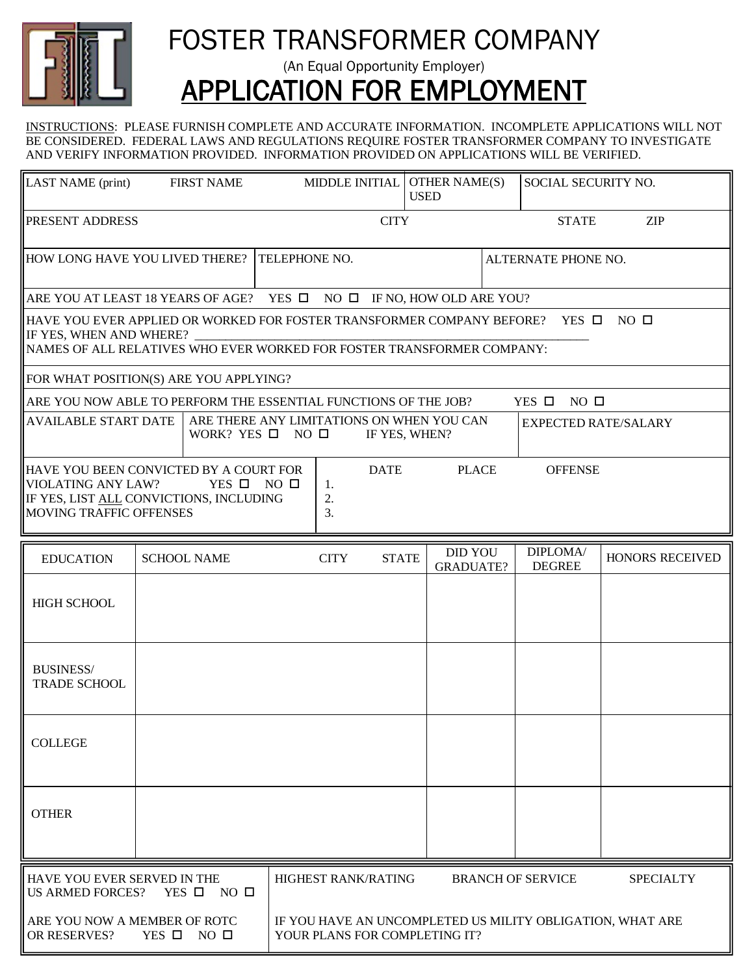

## FOSTER TRANSFORMER COMPANY

(An Equal Opportunity Employer)

# APPLICATION FOR EMPLOYMENT

INSTRUCTIONS: PLEASE FURNISH COMPLETE AND ACCURATE INFORMATION. INCOMPLETE APPLICATIONS WILL NOT BE CONSIDERED. FEDERAL LAWS AND REGULATIONS REQUIRE FOSTER TRANSFORMER COMPANY TO INVESTIGATE AND VERIFY INFORMATION PROVIDED. INFORMATION PROVIDED ON APPLICATIONS WILL BE VERIFIED.

| <b>LAST NAME</b> (print)                                                                                                                                                                                                                          |  | <b>FIRST NAME</b>  |  | MIDDLE INITIAL             |                                                                                            |  | <b>OTHER NAME(S)</b><br><b>USED</b> |                     | SOCIAL SECURITY NO.       |                  |
|---------------------------------------------------------------------------------------------------------------------------------------------------------------------------------------------------------------------------------------------------|--|--------------------|--|----------------------------|--------------------------------------------------------------------------------------------|--|-------------------------------------|---------------------|---------------------------|------------------|
| <b>PRESENT ADDRESS</b>                                                                                                                                                                                                                            |  |                    |  | <b>CITY</b>                |                                                                                            |  |                                     | <b>STATE</b>        | <b>ZIP</b>                |                  |
| HOW LONG HAVE YOU LIVED THERE?                                                                                                                                                                                                                    |  |                    |  | TELEPHONE NO.              |                                                                                            |  |                                     | ALTERNATE PHONE NO. |                           |                  |
| ARE YOU AT LEAST 18 YEARS OF AGE? YES $\Box$ NO $\Box$ IF NO, HOW OLD ARE YOU?                                                                                                                                                                    |  |                    |  |                            |                                                                                            |  |                                     |                     |                           |                  |
| HAVE YOU EVER APPLIED OR WORKED FOR FOSTER TRANSFORMER COMPANY BEFORE?<br>$NO$ $\Box$<br>YES O<br>IF YES, WHEN AND WHERE?<br>NAMES OF ALL RELATIVES WHO EVER WORKED FOR FOSTER TRANSFORMER COMPANY:                                               |  |                    |  |                            |                                                                                            |  |                                     |                     |                           |                  |
| FOR WHAT POSITION(S) ARE YOU APPLYING?                                                                                                                                                                                                            |  |                    |  |                            |                                                                                            |  |                                     |                     |                           |                  |
| ARE YOU NOW ABLE TO PERFORM THE ESSENTIAL FUNCTIONS OF THE JOB?                                                                                                                                                                                   |  |                    |  |                            |                                                                                            |  |                                     |                     | YES $\Box$ NO $\Box$      |                  |
| ARE THERE ANY LIMITATIONS ON WHEN YOU CAN<br><b>AVAILABLE START DATE</b><br><b>EXPECTED RATE/SALARY</b><br>WORK? YES $\square$ NO $\square$<br>IF YES, WHEN?                                                                                      |  |                    |  |                            |                                                                                            |  |                                     |                     |                           |                  |
| HAVE YOU BEEN CONVICTED BY A COURT FOR<br><b>DATE</b><br><b>PLACE</b><br><b>OFFENSE</b><br><b>VIOLATING ANY LAW?</b><br>YES $\square$ NO $\square$<br>1.<br>IF YES, LIST ALL CONVICTIONS, INCLUDING<br>2.<br><b>MOVING TRAFFIC OFFENSES</b><br>3. |  |                    |  |                            |                                                                                            |  |                                     |                     |                           |                  |
| <b>EDUCATION</b>                                                                                                                                                                                                                                  |  | <b>SCHOOL NAME</b> |  | <b>CITY</b>                | <b>STATE</b>                                                                               |  | <b>DID YOU</b><br><b>GRADUATE?</b>  |                     | DIPLOMA/<br><b>DEGREE</b> | HONORS RECEIVED  |
| <b>HIGH SCHOOL</b>                                                                                                                                                                                                                                |  |                    |  |                            |                                                                                            |  |                                     |                     |                           |                  |
| <b>BUSINESS/</b><br><b>TRADE SCHOOL</b>                                                                                                                                                                                                           |  |                    |  |                            |                                                                                            |  |                                     |                     |                           |                  |
| <b>COLLEGE</b>                                                                                                                                                                                                                                    |  |                    |  |                            |                                                                                            |  |                                     |                     |                           |                  |
| <b>OTHER</b>                                                                                                                                                                                                                                      |  |                    |  |                            |                                                                                            |  |                                     |                     |                           |                  |
| HAVE YOU EVER SERVED IN THE<br>$YES$ $\square$<br><b>US ARMED FORCES?</b><br>$NO$ $\Box$                                                                                                                                                          |  |                    |  | <b>HIGHEST RANK/RATING</b> |                                                                                            |  | <b>BRANCH OF SERVICE</b>            |                     |                           | <b>SPECIALTY</b> |
| ARE YOU NOW A MEMBER OF ROTC<br>OR RESERVES?<br>YES $\Box$ NO $\Box$                                                                                                                                                                              |  |                    |  |                            | IF YOU HAVE AN UNCOMPLETED US MILITY OBLIGATION, WHAT ARE<br>YOUR PLANS FOR COMPLETING IT? |  |                                     |                     |                           |                  |